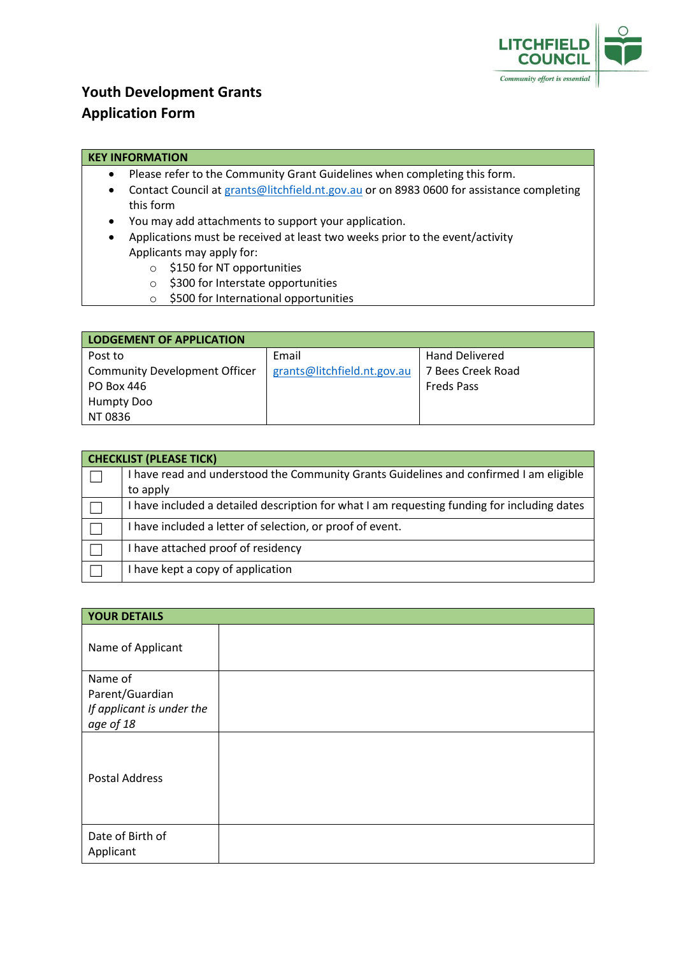

## **Youth Development Grants Application Form**

## **KEY INFORMATION**

- Please refer to the Community Grant Guidelines when completing this form.
- Contact Council a[t grants@litchfield.nt.gov.au](mailto:grants@litchfield.nt.gov.au) or on 8983 0600 for assistance completing this form
- You may add attachments to support your application.
- Applications must be received at least two weeks prior to the event/activity Applicants may apply for:
	- o \$150 for NT opportunities
	- o \$300 for Interstate opportunities
	- o \$500 for International opportunities

| <b>LODGEMENT OF APPLICATION</b>      |                             |                       |  |
|--------------------------------------|-----------------------------|-----------------------|--|
| Post to                              | Email                       | <b>Hand Delivered</b> |  |
| <b>Community Development Officer</b> | grants@litchfield.nt.gov.au | 7 Bees Creek Road     |  |
| PO Box 446                           |                             | <b>Freds Pass</b>     |  |
| <b>Humpty Doo</b>                    |                             |                       |  |
| NT 0836                              |                             |                       |  |

| <b>CHECKLIST (PLEASE TICK)</b> |                                                                                           |  |
|--------------------------------|-------------------------------------------------------------------------------------------|--|
|                                | have read and understood the Community Grants Guidelines and confirmed I am eligible      |  |
|                                | to apply                                                                                  |  |
|                                | have included a detailed description for what I am requesting funding for including dates |  |
|                                | have included a letter of selection, or proof of event.                                   |  |
|                                | have attached proof of residency                                                          |  |
|                                | have kept a copy of application                                                           |  |

| <b>YOUR DETAILS</b>                                                  |  |  |
|----------------------------------------------------------------------|--|--|
| Name of Applicant                                                    |  |  |
| Name of<br>Parent/Guardian<br>If applicant is under the<br>age of 18 |  |  |
| <b>Postal Address</b>                                                |  |  |
| Date of Birth of<br>Applicant                                        |  |  |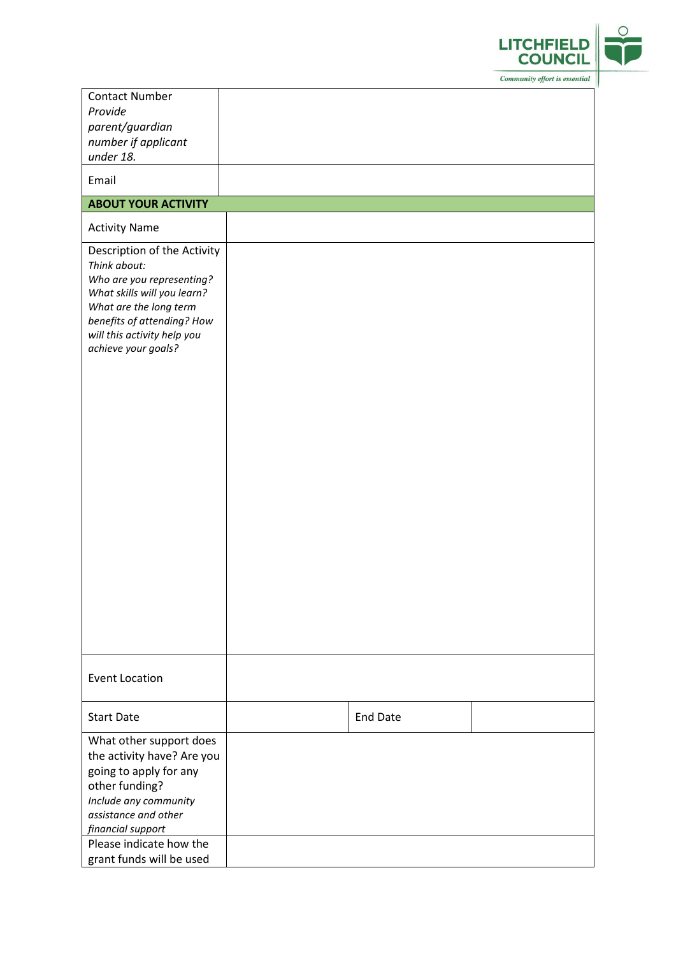

| <b>Contact Number</b>                                 |                 |  |
|-------------------------------------------------------|-----------------|--|
| Provide                                               |                 |  |
| parent/guardian                                       |                 |  |
| number if applicant                                   |                 |  |
| under 18.                                             |                 |  |
| Email                                                 |                 |  |
| <b>ABOUT YOUR ACTIVITY</b>                            |                 |  |
| <b>Activity Name</b>                                  |                 |  |
| Description of the Activity                           |                 |  |
| Think about:                                          |                 |  |
| Who are you representing?                             |                 |  |
| What skills will you learn?<br>What are the long term |                 |  |
| benefits of attending? How                            |                 |  |
| will this activity help you                           |                 |  |
| achieve your goals?                                   |                 |  |
|                                                       |                 |  |
|                                                       |                 |  |
|                                                       |                 |  |
|                                                       |                 |  |
|                                                       |                 |  |
|                                                       |                 |  |
|                                                       |                 |  |
|                                                       |                 |  |
|                                                       |                 |  |
|                                                       |                 |  |
|                                                       |                 |  |
|                                                       |                 |  |
|                                                       |                 |  |
|                                                       |                 |  |
|                                                       |                 |  |
|                                                       |                 |  |
|                                                       |                 |  |
|                                                       |                 |  |
| <b>Event Location</b>                                 |                 |  |
|                                                       |                 |  |
| <b>Start Date</b>                                     | <b>End Date</b> |  |
| What other support does                               |                 |  |
| the activity have? Are you                            |                 |  |
| going to apply for any                                |                 |  |
| other funding?                                        |                 |  |
| Include any community                                 |                 |  |
| assistance and other                                  |                 |  |
| financial support                                     |                 |  |
| Please indicate how the                               |                 |  |
| grant funds will be used                              |                 |  |